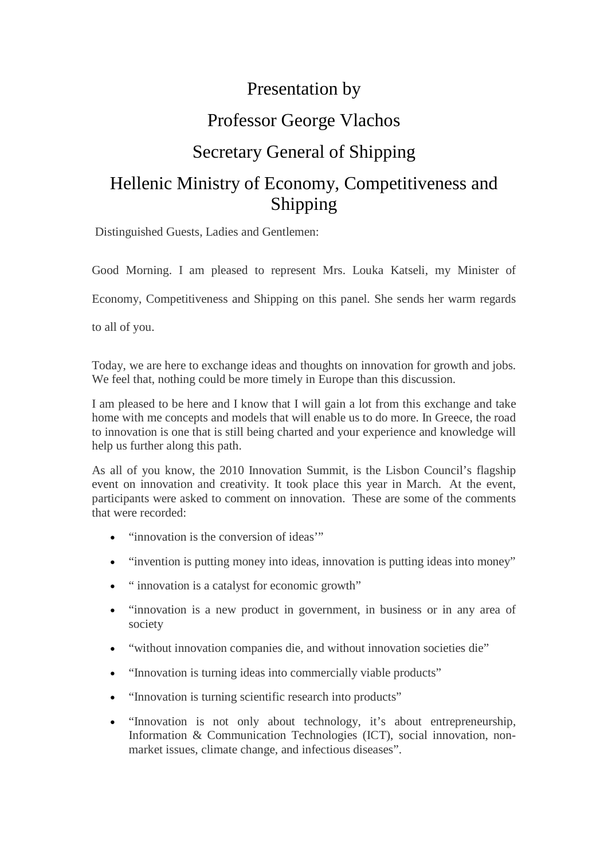# Presentation by Professor George Vlachos Secretary General of Shipping Hellenic Ministry of Economy, Competitiveness and Shipping

Distinguished Guests, Ladies and Gentlemen:

Good Morning. I am pleased to represent Mrs. Louka Katseli, my Minister of

Economy, Competitiveness and Shipping on this panel. She sends her warm regards

to all of you.

Today, we are here to exchange ideas and thoughts on innovation for growth and jobs. We feel that, nothing could be more timely in Europe than this discussion.

I am pleased to be here and I know that I will gain a lot from this exchange and take home with me concepts and models that will enable us to do more. In Greece, the road to innovation is one that is still being charted and your experience and knowledge will help us further along this path.

As all of you know, the 2010 Innovation Summit, is the Lisbon Council's flagship event on innovation and creativity. It took place this year in March. At the event, participants were asked to comment on innovation. These are some of the comments that were recorded:

- "innovation is the conversion of ideas'"
- "invention is putting money into ideas, innovation is putting ideas into money"
- " innovation is a catalyst for economic growth"
- "innovation is a new product in government, in business or in any area of society
- "without innovation companies die, and without innovation societies die"
- "Innovation is turning ideas into commercially viable products"
- "Innovation is turning scientific research into products"
- "Innovation is not only about technology, it's about entrepreneurship, Information & Communication Technologies (ICT), social innovation, nonmarket issues, climate change, and infectious diseases".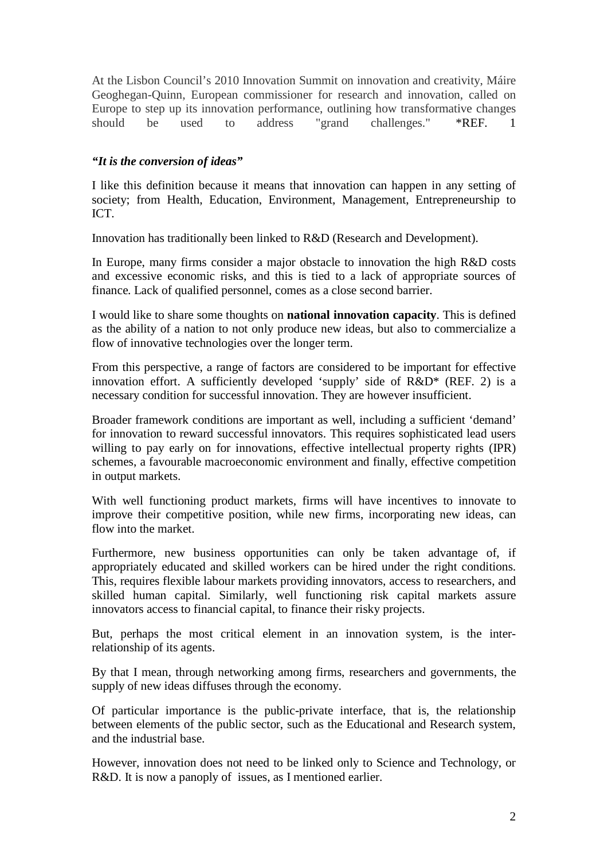At the Lisbon Council's 2010 Innovation Summit on innovation and creativity, Máire Geoghegan-Quinn, European commissioner for research and innovation, called on Europe to step up its innovation performance, outlining how transformative changes should be used to address "grand challenges." \*REF. 1

# *"It is the conversion of ideas"*

I like this definition because it means that innovation can happen in any setting of society; from Health, Education, Environment, Management, Entrepreneurship to ICT.

Innovation has traditionally been linked to R&D (Research and Development).

In Europe, many firms consider a major obstacle to innovation the high R&D costs and excessive economic risks, and this is tied to a lack of appropriate sources of finance*.* Lack of qualified personnel, comes as a close second barrier.

I would like to share some thoughts on **national innovation capacity**. This is defined as the ability of a nation to not only produce new ideas, but also to commercialize a flow of innovative technologies over the longer term.

From this perspective, a range of factors are considered to be important for effective innovation effort. A sufficiently developed 'supply' side of R&D\* (REF. 2) is a necessary condition for successful innovation. They are however insufficient.

Broader framework conditions are important as well, including a sufficient 'demand' for innovation to reward successful innovators. This requires sophisticated lead users willing to pay early on for innovations, effective intellectual property rights (IPR) schemes, a favourable macroeconomic environment and finally, effective competition in output markets.

With well functioning product markets, firms will have incentives to innovate to improve their competitive position, while new firms, incorporating new ideas, can flow into the market.

Furthermore, new business opportunities can only be taken advantage of, if appropriately educated and skilled workers can be hired under the right conditions. This, requires flexible labour markets providing innovators, access to researchers, and skilled human capital. Similarly, well functioning risk capital markets assure innovators access to financial capital, to finance their risky projects.

But, perhaps the most critical element in an innovation system, is the interrelationship of its agents.

By that I mean, through networking among firms, researchers and governments, the supply of new ideas diffuses through the economy.

Of particular importance is the public-private interface, that is, the relationship between elements of the public sector, such as the Educational and Research system, and the industrial base.

However, innovation does not need to be linked only to Science and Technology, or R&D. It is now a panoply of issues, as I mentioned earlier.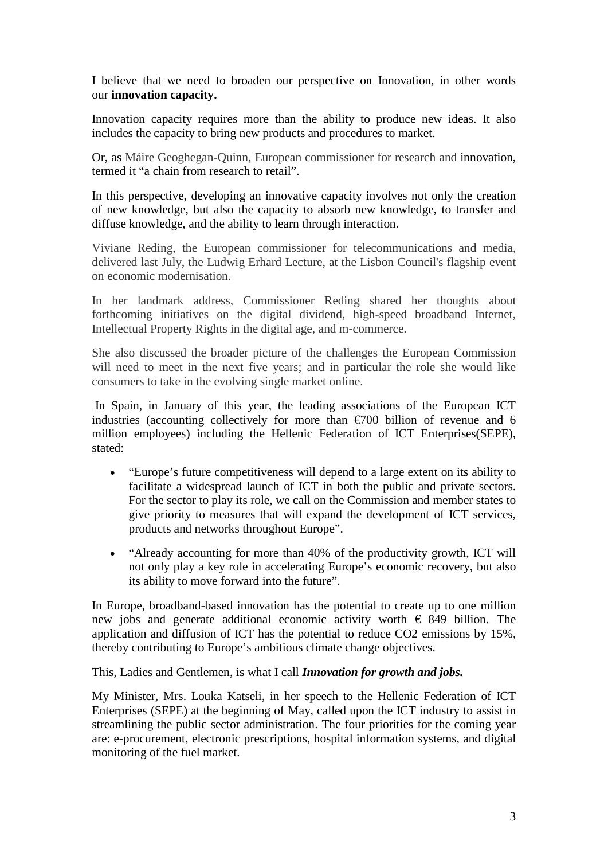I believe that we need to broaden our perspective on Innovation, in other words our **innovation capacity.**

Innovation capacity requires more than the ability to produce new ideas. It also includes the capacity to bring new products and procedures to market.

Or, as Máire Geoghegan-Quinn, European commissioner for research and innovation, termed it "a chain from research to retail".

In this perspective, developing an innovative capacity involves not only the creation of new knowledge, but also the capacity to absorb new knowledge, to transfer and diffuse knowledge, and the ability to learn through interaction.

Viviane Reding, the European commissioner for telecommunications and media, delivered last July, the Ludwig Erhard Lecture, at the Lisbon Council's flagship event on economic modernisation.

In her landmark address, Commissioner Reding shared her thoughts about forthcoming initiatives on the digital dividend, high-speed broadband Internet, Intellectual Property Rights in the digital age, and m-commerce.

She also discussed the broader picture of the challenges the European Commission will need to meet in the next five years; and in particular the role she would like consumers to take in the evolving single market online.

 In Spain, in January of this year, the leading associations of the European ICT industries (accounting collectively for more than  $\epsilon$ 700 billion of revenue and 6 million employees) including the Hellenic Federation of ICT Enterprises(SEPE), stated:

- "Europe's future competitiveness will depend to a large extent on its ability to facilitate a widespread launch of ICT in both the public and private sectors. For the sector to play its role, we call on the Commission and member states to give priority to measures that will expand the development of ICT services, products and networks throughout Europe".
- "Already accounting for more than 40% of the productivity growth, ICT will not only play a key role in accelerating Europe's economic recovery, but also its ability to move forward into the future".

In Europe, broadband-based innovation has the potential to create up to one million new jobs and generate additional economic activity worth  $\epsilon$  849 billion. The application and diffusion of ICT has the potential to reduce CO2 emissions by 15%, thereby contributing to Europe's ambitious climate change objectives.

#### This, Ladies and Gentlemen, is what I call *Innovation for growth and jobs.*

My Minister, Mrs. Louka Katseli, in her speech to the Hellenic Federation of ICT Enterprises (SEPE) at the beginning of May, called upon the ICT industry to assist in streamlining the public sector administration. The four priorities for the coming year are: e-procurement, electronic prescriptions, hospital information systems, and digital monitoring of the fuel market.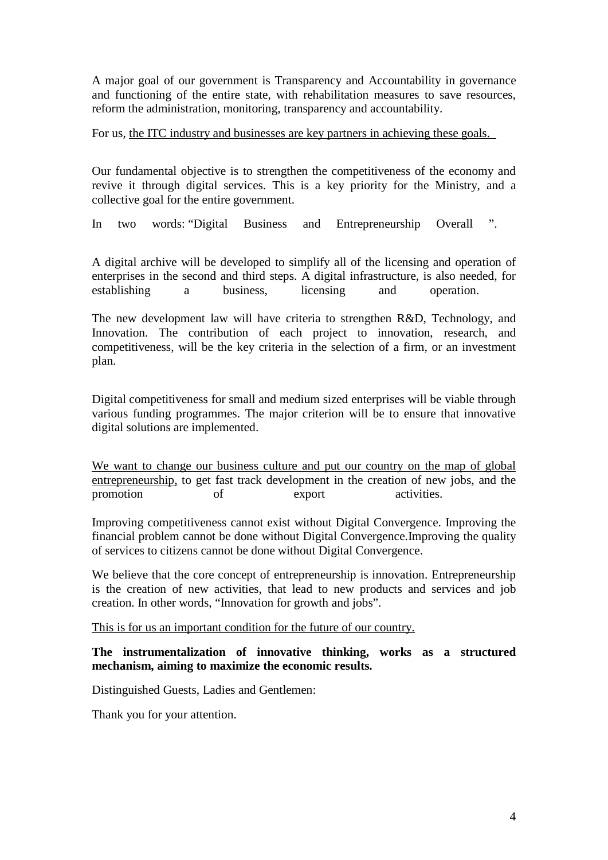A major goal of our government is Transparency and Accountability in governance and functioning of the entire state, with rehabilitation measures to save resources, reform the administration, monitoring, transparency and accountability.

#### For us, the ITC industry and businesses are key partners in achieving these goals.

Our fundamental objective is to strengthen the competitiveness of the economy and revive it through digital services. This is a key priority for the Ministry, and a collective goal for the entire government.

In two words: "Digital Business and Entrepreneurship Overall ".

A digital archive will be developed to simplify all of the licensing and operation of enterprises in the second and third steps. A digital infrastructure, is also needed, for establishing a business, licensing and operation.

The new development law will have criteria to strengthen R&D, Technology, and Innovation. The contribution of each project to innovation, research, and competitiveness, will be the key criteria in the selection of a firm, or an investment plan.

Digital competitiveness for small and medium sized enterprises will be viable through various funding programmes. The major criterion will be to ensure that innovative digital solutions are implemented.

We want to change our business culture and put our country on the map of global entrepreneurship, to get fast track development in the creation of new jobs, and the promotion of export activities.

Improving competitiveness cannot exist without Digital Convergence. Improving the financial problem cannot be done without Digital Convergence.Improving the quality of services to citizens cannot be done without Digital Convergence.

We believe that the core concept of entrepreneurship is innovation. Entrepreneurship is the creation of new activities, that lead to new products and services and job creation. In other words, "Innovation for growth and jobs".

This is for us an important condition for the future of our country.

## **The instrumentalization of innovative thinking, works as a structured mechanism, aiming to maximize the economic results.**

Distinguished Guests, Ladies and Gentlemen:

Thank you for your attention.